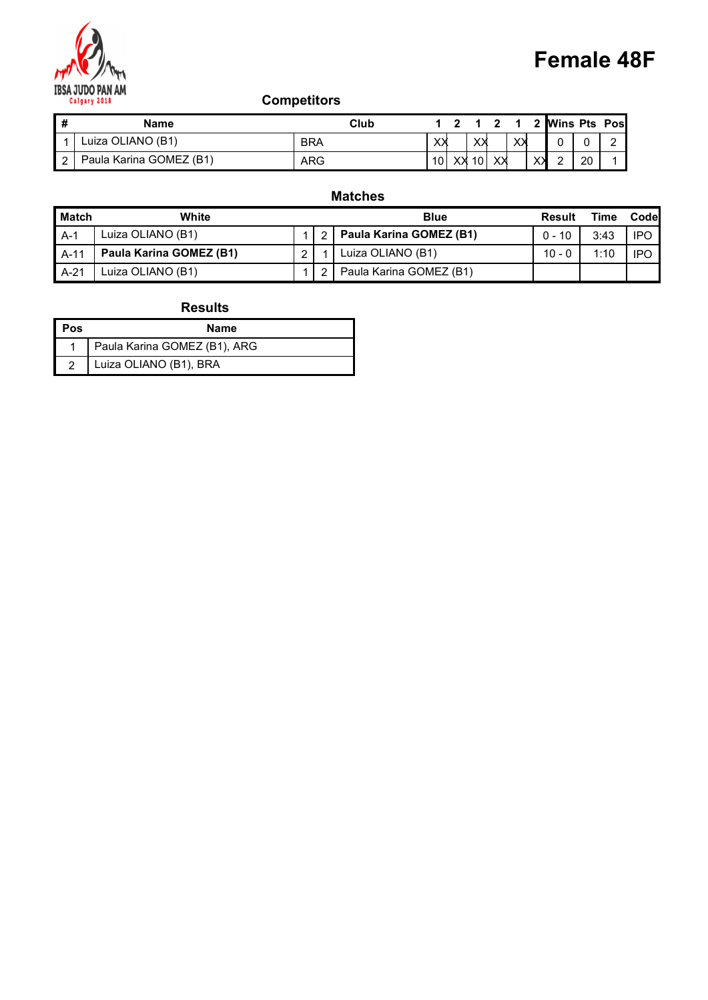

| M              |                                         |                    |                                                                                | <b>Female 48F</b>                       |      |
|----------------|-----------------------------------------|--------------------|--------------------------------------------------------------------------------|-----------------------------------------|------|
|                | <b>IBSA JUDO PAN AM</b><br>Calgary 2018 | <b>Competitors</b> |                                                                                |                                         |      |
| $\pmb{\#}$     | <b>Name</b>                             | Club               | $1 \quad 2$<br>$\mathbf{2}$<br>$\overline{\mathbf{1}}$<br>$\blacktriangleleft$ | <b>Wins Pts Pos</b><br>$\boldsymbol{2}$ |      |
| 1              | Luiza OLIANO (B1)                       | <b>BRA</b>         | xх<br>xх<br>XX                                                                 | $\mathbf 0$<br>0<br>$\overline{c}$      |      |
| $\overline{2}$ | Paula Karina GOMEZ (B1)                 | ARG                | 10<br>$10$<br>XX<br>∣xx                                                        | 20<br>$\times$<br>$\overline{2}$        |      |
|                |                                         | <b>Matches</b>     |                                                                                |                                         |      |
| <b>Match</b>   | White                                   |                    | <b>Blue</b>                                                                    | <b>Time</b><br>Result                   | Code |

## Matches

|                         | Calgary 2018                 | <b>Competitors</b> |                         |                            | <b>Female 48F</b>          |                     |            |
|-------------------------|------------------------------|--------------------|-------------------------|----------------------------|----------------------------|---------------------|------------|
| $\overline{\mathbf{H}}$ | <b>Name</b>                  |                    |                         | 1 2 1 2 1<br>Club          | 2 Wins Pts Pos             |                     |            |
| $\overline{1}$          | Luiza OLIANO (B1)            | <b>BRA</b>         |                         | XX<br>XX<br>XХ             | 0                          | $\overline{c}$<br>0 |            |
| $\boxed{2}$             | Paula Karina GOMEZ (B1)      | <b>ARG</b>         |                         | $10$ XX $10$<br>$X\lambda$ | $\times$<br>$\overline{2}$ | 20                  |            |
|                         |                              |                    |                         | <b>Matches</b>             |                            |                     |            |
| <b>Match</b>            | White                        |                    |                         | <b>Blue</b>                | <b>Result</b>              | <b>Time</b>         | Code       |
| $A-1$                   | Luiza OLIANO (B1)            | $\mathbf 1$        | $\overline{\mathbf{c}}$ | Paula Karina GOMEZ (B1)    | $0 - 10$                   | 3:43                | <b>IPO</b> |
| $A-11$                  | Paula Karina GOMEZ (B1)      | $\overline{2}$     |                         | Luiza OLIANO (B1)          | $10 - 0$                   | 1:10                | <b>IPO</b> |
| $A-21$                  | Luiza OLIANO (B1)            | $\mathbf{1}$       | $\overline{c}$          | Paula Karina GOMEZ (B1)    |                            |                     |            |
|                         | <b>Results</b>               |                    |                         |                            |                            |                     |            |
| Pos                     | <b>Name</b>                  |                    |                         |                            |                            |                     |            |
| -1                      | Paula Karina GOMEZ (B1), ARG |                    |                         |                            |                            |                     |            |
| $\overline{2}$          | Luiza OLIANO (B1), BRA       |                    |                         |                            |                            |                     |            |

| l Pos  | <b>Name</b>                  |
|--------|------------------------------|
|        | Paula Karina GOMEZ (B1), ARG |
| $\sim$ | Luiza OLIANO (B1), BRA       |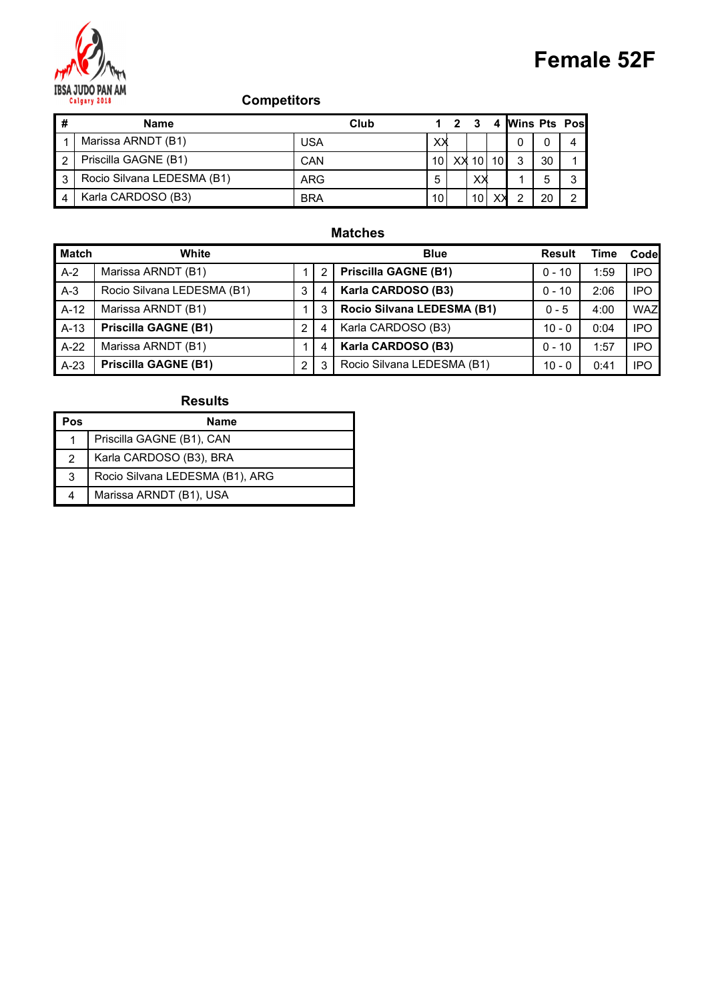

| <b>Female 52F</b><br><b>IBSA JUDO PAN AM</b><br><b>Competitors</b><br>Calgary 2018<br>$\pmb{\#}$<br>4 Wins Pts Pos<br>$1 \quad 2 \quad 3$<br>Club<br><b>Name</b><br>Marissa ARNDT (B1)<br><b>USA</b><br>XX<br>$\mathbf{0}$<br>$\overline{0}$<br>4<br>Priscilla GAGNE (B1)<br>10 XX 10 10<br>$\overline{2}$<br>$\mathbf{3}$<br>30<br>CAN |              |                            |     |   |     |  |   |              |
|-----------------------------------------------------------------------------------------------------------------------------------------------------------------------------------------------------------------------------------------------------------------------------------------------------------------------------------------|--------------|----------------------------|-----|---|-----|--|---|--------------|
|                                                                                                                                                                                                                                                                                                                                         |              |                            |     |   |     |  |   |              |
|                                                                                                                                                                                                                                                                                                                                         |              |                            |     |   |     |  |   |              |
|                                                                                                                                                                                                                                                                                                                                         |              |                            |     |   |     |  |   |              |
|                                                                                                                                                                                                                                                                                                                                         |              |                            |     |   |     |  |   |              |
|                                                                                                                                                                                                                                                                                                                                         |              |                            |     |   |     |  |   |              |
|                                                                                                                                                                                                                                                                                                                                         |              |                            |     |   |     |  |   |              |
| Karla CARDOSO (B3)<br>10<br>$\times$<br><b>BRA</b><br>10<br>$\overline{2}$<br>20<br>$\overline{2}$<br>$\overline{4}$                                                                                                                                                                                                                    | $\mathbf{3}$ | Rocio Silvana LEDESMA (B1) | ARG | 5 | X X |  | 5 | $\mathbf{3}$ |

#### Matches

|                  |                                                  |                |                |                               |              |                               |    |                                |                     |                                |             | <b>Female 52F</b> |
|------------------|--------------------------------------------------|----------------|----------------|-------------------------------|--------------|-------------------------------|----|--------------------------------|---------------------|--------------------------------|-------------|-------------------|
|                  | <b>Competitors</b><br>Calgary 2018               |                |                |                               |              |                               |    |                                |                     |                                |             |                   |
| #                | <b>Name</b>                                      |                |                | Club                          | $1 \quad 2$  | $\mathbf{3}$                  | 4  |                                | <b>Wins Pts Pos</b> |                                |             |                   |
| -1               | Marissa ARNDT (B1)                               | <b>USA</b>     |                |                               | XX           |                               |    | 0                              | 0                   | 4                              |             |                   |
| $\overline{c}$   | Priscilla GAGNE (B1)                             | CAN            |                |                               | $10$ XX $10$ |                               | 10 | 3                              | 30                  | 1                              |             |                   |
| 3<br>4           | Rocio Silvana LEDESMA (B1)<br>Karla CARDOSO (B3) | <b>BRA</b>     | <b>ARG</b>     | 5<br>10                       |              | $X\lambda$<br>10 <sup>1</sup> | XХ | $\mathbf{1}$<br>$\overline{2}$ | 5<br>20             | $\mathbf{3}$<br>$\overline{2}$ |             |                   |
| <b>Match</b>     | White                                            |                |                | <b>Matches</b><br><b>Blue</b> |              |                               |    |                                |                     | Result                         | <b>Time</b> | Code              |
| $A-2$            | Marissa ARNDT (B1)                               | $\mathbf{1}$   | $\overline{c}$ | <b>Priscilla GAGNE (B1)</b>   |              |                               |    |                                |                     | $0 - 10$                       | 1:59        | <b>IPO</b>        |
| $A-3$            | Rocio Silvana LEDESMA (B1)                       | $\mathbf{3}$   | 4              | Karla CARDOSO (B3)            |              |                               |    |                                |                     | $0 - 10$                       | 2:06        | <b>IPO</b>        |
| $A-12$           | Marissa ARNDT (B1)                               | 1              | 3              | Rocio Silvana LEDESMA (B1)    |              |                               |    |                                |                     | $0 - 5$                        | 4:00        | <b>WAZ</b>        |
| $A-13$           | <b>Priscilla GAGNE (B1)</b>                      | $\overline{2}$ | 4              | Karla CARDOSO (B3)            |              |                               |    |                                |                     | $10 - 0$                       | 0:04        | <b>IPO</b>        |
| $A-22$           | Marissa ARNDT (B1)                               | $\mathbf{1}$   | 4              | Karla CARDOSO (B3)            |              |                               |    |                                |                     | $0 - 10$                       | 1:57        | <b>IPO</b>        |
| $A-23$           | <b>Priscilla GAGNE (B1)</b>                      | $\overline{2}$ | 3              | Rocio Silvana LEDESMA (B1)    |              |                               |    |                                |                     | $10 - 0$                       | 0:41        | <b>IPO</b>        |
|                  | <b>Results</b>                                   |                |                |                               |              |                               |    |                                |                     |                                |             |                   |
| Pos              | <b>Name</b>                                      |                |                |                               |              |                               |    |                                |                     |                                |             |                   |
| $\overline{1}$   | Priscilla GAGNE (B1), CAN                        |                |                |                               |              |                               |    |                                |                     |                                |             |                   |
| 2                | Karla CARDOSO (B3), BRA                          |                |                |                               |              |                               |    |                                |                     |                                |             |                   |
| $\sqrt{3}$       | Rocio Silvana LEDESMA (B1), ARG                  |                |                |                               |              |                               |    |                                |                     |                                |             |                   |
| $\blacktriangle$ | Marissa ARNDT (B1), USA                          |                |                |                               |              |                               |    |                                |                     |                                |             |                   |

| Pos | Name                            |
|-----|---------------------------------|
|     | Priscilla GAGNE (B1), CAN       |
|     | Karla CARDOSO (B3), BRA         |
| 3   | Rocio Silvana LEDESMA (B1), ARG |
|     | Marissa ARNDT (B1), USA         |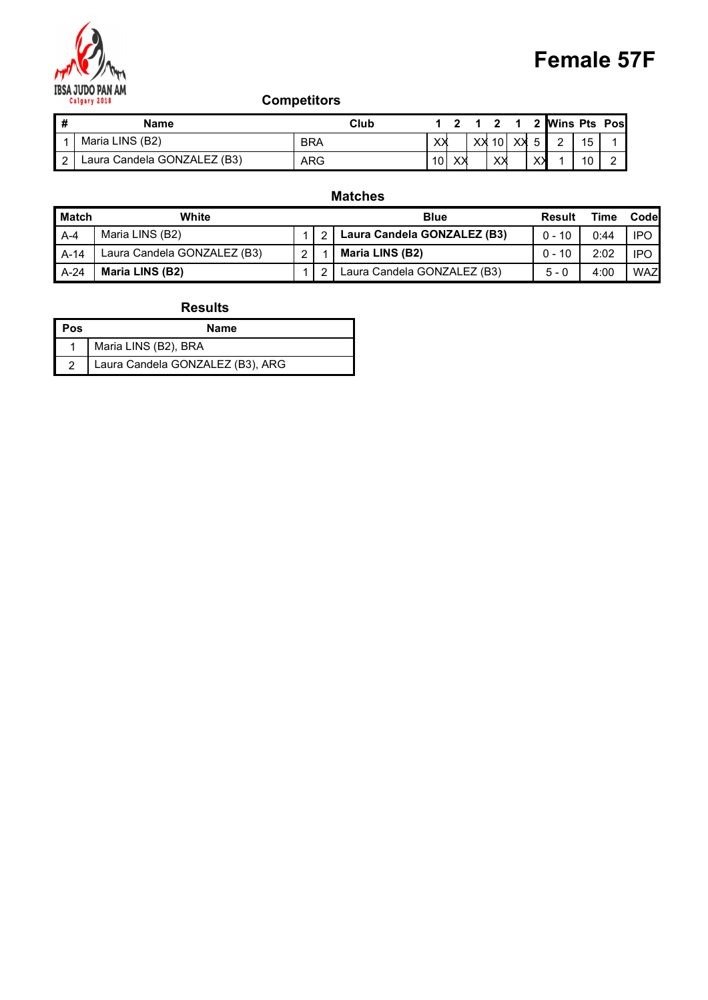

|                                               |                    |                                         |             |                         |             |                         |                | <b>Female 57F</b>    |      |
|-----------------------------------------------|--------------------|-----------------------------------------|-------------|-------------------------|-------------|-------------------------|----------------|----------------------|------|
| <b>IBSA JUDO PAN AM</b><br>Calgary 2018       | <b>Competitors</b> |                                         |             |                         |             |                         |                |                      |      |
| #<br><b>Name</b>                              | Club               | $\overline{\mathbf{2}}$<br>$\mathbf{1}$ | $\mathbf 1$ | $\overline{\mathbf{2}}$ | $\mathbf 1$ | $\overline{\mathbf{2}}$ |                | <b>Wins Pts Pos</b>  |      |
| Maria LINS (B2)<br>$\overline{1}$             | <b>BRA</b>         | ХX                                      |             | $XX$ 10 $XX$            |             | $5\phantom{.0}$         | $\overline{2}$ | 15                   |      |
| Laura Candela GONZALEZ (B3)<br>$\overline{2}$ | ARG                | 10<br>$\times$                          |             | xх                      |             | $X\lambda$              |                | 10<br>$\overline{2}$ |      |
|                                               |                    |                                         |             |                         |             |                         |                |                      |      |
| <b>Match</b><br>White                         | <b>Matches</b>     | <b>Blue</b>                             |             |                         |             |                         | Result         | <b>Time</b>          | Code |

## Matches

|                         | Calgary 2018                     | <b>Competitors</b> |                         |                                       | <b>Female 57F</b>    |                      |            |
|-------------------------|----------------------------------|--------------------|-------------------------|---------------------------------------|----------------------|----------------------|------------|
| $\overline{\mathbf{H}}$ |                                  |                    |                         | 1 2 1 2 1<br>Club                     | 2 Wins Pts Pos       |                      |            |
| $\mathbf{1}$            | <b>Name</b><br>Maria LINS (B2)   | <b>BRA</b>         |                         | XX<br>XX<br>XX<br>$\left  \right $ 10 | -5<br>$\overline{2}$ | 15<br>-1             |            |
| $\boxed{2}$             | Laura Candela GONZALEZ (B3)      | <b>ARG</b>         |                         | $10$ XX<br>$X\lambda$                 | $X\lambda$           | 10<br>$\overline{2}$ |            |
|                         |                                  |                    |                         | <b>Matches</b>                        |                      |                      |            |
| Match                   | White                            |                    |                         | <b>Blue</b>                           | <b>Result</b>        | <b>Time</b>          | Code       |
| $A-4$                   | Maria LINS (B2)                  | $\mathbf 1$        | $\overline{\mathbf{c}}$ | Laura Candela GONZALEZ (B3)           | $0 - 10$             | 0:44                 | <b>IPO</b> |
| $A-14$                  | Laura Candela GONZALEZ (B3)      | $\overline{2}$     |                         | Maria LINS (B2)                       | $0 - 10$             | 2:02                 | <b>IPO</b> |
| $A-24$                  | Maria LINS (B2)                  | $\mathbf{1}$       | $\overline{2}$          | Laura Candela GONZALEZ (B3)           | $5 - 0$              | 4:00                 | <b>WAZ</b> |
|                         | <b>Results</b>                   |                    |                         |                                       |                      |                      |            |
| Pos                     | <b>Name</b>                      |                    |                         |                                       |                      |                      |            |
| -1                      | Maria LINS (B2), BRA             |                    |                         |                                       |                      |                      |            |
| $\overline{2}$          | Laura Candela GONZALEZ (B3), ARG |                    |                         |                                       |                      |                      |            |

| l Pos | <b>Name</b>                      |
|-------|----------------------------------|
|       | Maria LINS (B2), BRA             |
|       | Laura Candela GONZALEZ (B3), ARG |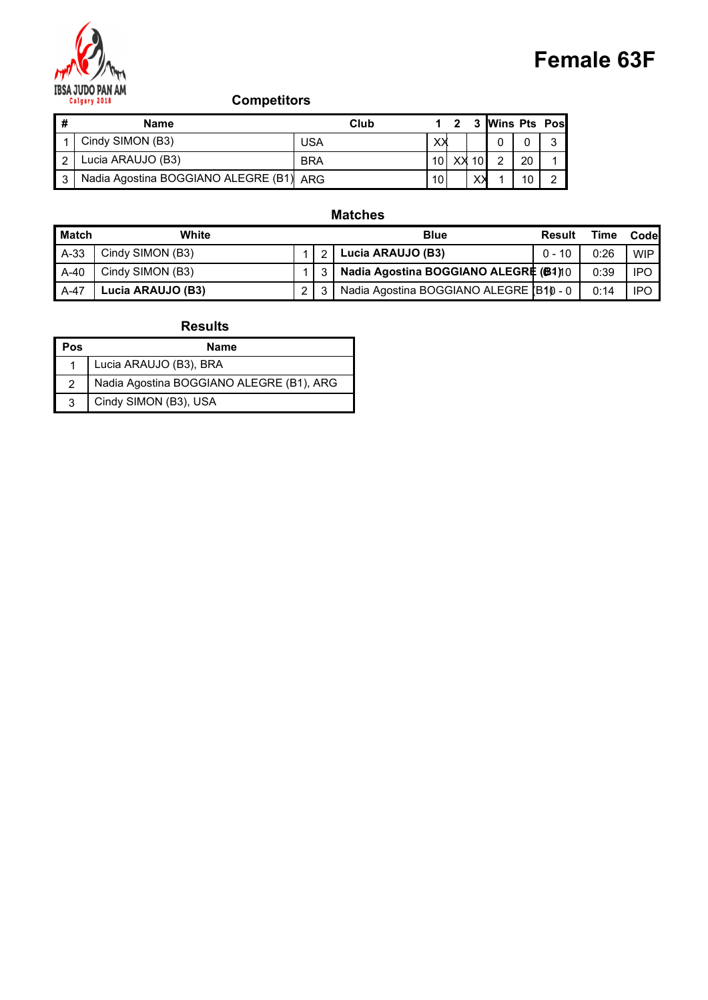

|                |                                                               |                |             |                         |                 |                |    |                     | <b>Female 63F</b> |      |
|----------------|---------------------------------------------------------------|----------------|-------------|-------------------------|-----------------|----------------|----|---------------------|-------------------|------|
|                | <b>IBSA JUDO PAN AM</b><br><b>Competitors</b><br>Calgary 2018 |                |             |                         |                 |                |    |                     |                   |      |
| $\pmb{\#}$     | <b>Name</b>                                                   | Club           | $\mathbf 1$ | $\overline{\mathbf{2}}$ | $\mathbf 3$     |                |    | <b>Wins Pts Pos</b> |                   |      |
|                | Cindy SIMON (B3)                                              | <b>USA</b>     | XX          |                         |                 | $\mathbf{0}$   | 0  | 3                   |                   |      |
| $\overline{2}$ | Lucia ARAUJO (B3)                                             | <b>BRA</b>     | 10          | XX                      | 10 <sub>l</sub> | $\overline{2}$ | 20 | 1                   |                   |      |
| $\mathbf{3}$   | Nadia Agostina BOGGIANO ALEGRE (B1) ARG                       |                | 10          |                         | $X\lambda$      |                | 10 | $\overline{2}$      |                   |      |
|                |                                                               | <b>Matches</b> |             |                         |                 |                |    |                     |                   |      |
|                | <b>Match</b><br>White                                         |                | <b>Blue</b> |                         |                 |                |    | <b>Result</b>       | <b>Time</b>       | Code |

#### Matches

|                         | <b>Competitors</b><br>Calgary 2018       |                |                         |                                                                  | <b>Female 63F</b> |             |            |
|-------------------------|------------------------------------------|----------------|-------------------------|------------------------------------------------------------------|-------------------|-------------|------------|
| $\overline{\mathbf{H}}$ | <b>Name</b>                              |                |                         | 3 Wins Pts Pos<br>Club<br>$\overline{\mathbf{2}}$<br>$\mathbf 1$ |                   |             |            |
| $\overline{1}$          | Cindy SIMON (B3)                         | <b>USA</b>     |                         | ×Х<br>$\mathbf 0$<br>$\pmb{0}$                                   | 3                 |             |            |
| $\overline{2}$          | Lucia ARAUJO (B3)                        | <b>BRA</b>     |                         | 10<br>20<br>XX 10<br>$\overline{2}$                              |                   |             |            |
| $\overline{3}$          | Nadia Agostina BOGGIANO ALEGRE (B1)      | ARG            |                         | 10<br>X<br>10                                                    | $\overline{2}$    |             |            |
|                         |                                          |                |                         | <b>Matches</b>                                                   |                   |             |            |
|                         | <b>Match</b><br>White                    |                |                         | <b>Blue</b>                                                      | <b>Result</b>     | <b>Time</b> | Code       |
| $A-33$                  | Cindy SIMON (B3)                         | 1              | $\overline{\mathbf{c}}$ | Lucia ARAUJO (B3)                                                | $0 - 10$          | 0:26        | <b>WIP</b> |
| $A-40$                  | Cindy SIMON (B3)                         | $\mathbf{1}$   | 3                       | Nadia Agostina BOGGIANO ALEGRE (B1)10                            |                   | 0:39        | <b>IPO</b> |
| A-47                    | Lucia ARAUJO (B3)                        | $\overline{2}$ | 3                       | Nadia Agostina BOGGIANO ALEGRE (B10 - 0                          |                   | 0:14        | <b>IPO</b> |
|                         | <b>Results</b>                           |                |                         |                                                                  |                   |             |            |
| Pos                     | <b>Name</b>                              |                |                         |                                                                  |                   |             |            |
| -1                      | Lucia ARAUJO (B3), BRA                   |                |                         |                                                                  |                   |             |            |
| $\sqrt{2}$              | Nadia Agostina BOGGIANO ALEGRE (B1), ARG |                |                         |                                                                  |                   |             |            |
| $\mathbf{3}$            | Cindy SIMON (B3), USA                    |                |                         |                                                                  |                   |             |            |

| Pos | <b>Name</b>                              |
|-----|------------------------------------------|
|     | Lucia ARAUJO (B3), BRA                   |
|     | Nadia Agostina BOGGIANO ALEGRE (B1), ARG |
| ⌒   | Cindy SIMON (B3), USA                    |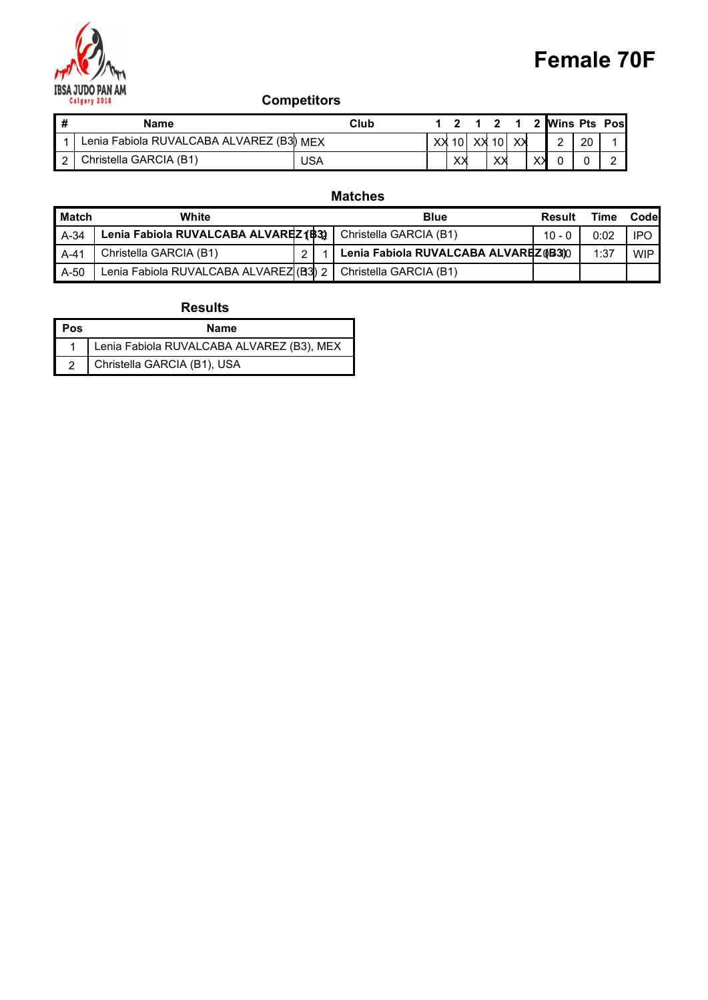

| M                                              |                    |             |                |                                        |   |                         |              | <b>Female 70F</b>   |      |
|------------------------------------------------|--------------------|-------------|----------------|----------------------------------------|---|-------------------------|--------------|---------------------|------|
| <b>IBSA JUDO PAN AM</b><br>Calgary 2018        | <b>Competitors</b> |             |                |                                        |   |                         |              |                     |      |
| #<br><b>Name</b>                               | Club               | $\mathbf 1$ | $\overline{2}$ | $\overline{\mathbf{2}}$<br>$\mathbf 1$ | 1 | $\overline{\mathbf{2}}$ |              | <b>Wins Pts Pos</b> |      |
| Lenia Fabiola RUVALCABA ALVAREZ (B3) MEX<br>-1 |                    |             | $XX$ 10        | XX 10 XX                               |   | $\overline{2}$          | 20           |                     |      |
| Christella GARCIA (B1)<br>$\overline{2}$       | <b>USA</b>         |             | XX             | XX                                     |   | $X\lambda$<br>0         | $\mathbf{0}$ | $\overline{2}$      |      |
|                                                | <b>Matches</b>     |             |                |                                        |   |                         |              |                     |      |
| <b>Match</b><br>White                          |                    | <b>Blue</b> |                |                                        |   | <b>Result</b>           |              | <b>Time</b>         | Code |

## Matches

|                         |                                                         |                |                                                     |                                             |                           | <b>Female 70F</b> |
|-------------------------|---------------------------------------------------------|----------------|-----------------------------------------------------|---------------------------------------------|---------------------------|-------------------|
|                         | <b>Competitors</b><br>Calgary 2018                      |                |                                                     |                                             |                           |                   |
| $\overline{\mathbf{H}}$ | <b>Name</b><br>Lenia Fabiola RUVALCABA ALVAREZ (B3) MEX |                | Club<br>$1 \quad 2$<br>$1 \quad 2 \quad 1$          |                                             | 2 Wins Pts Pos            |                   |
| -1<br>$\boxed{2}$       | Christella GARCIA (B1)                                  | <b>USA</b>     | XX 10<br>XX<br>10<br>XX<br>$X\lambda$<br>$X\lambda$ | $\overline{2}$<br>$X\lambda$<br>$\mathbf 0$ | 20<br>$\overline{2}$<br>0 |                   |
|                         |                                                         |                |                                                     |                                             |                           |                   |
|                         |                                                         |                | <b>Matches</b>                                      |                                             |                           |                   |
| Match                   | White                                                   |                | <b>Blue</b>                                         | <b>Result</b>                               | <b>Time</b>               | Code              |
| $A-34$                  | Lenia Fabiola RUVALCABA ALVAREZ (\$3)                   |                | Christella GARCIA (B1)                              | $10 - 0$                                    | 0:02                      | <b>IPO</b>        |
| $A-41$                  | Christella GARCIA (B1)                                  | $\overline{2}$ | Lenia Fabiola RUVALCABA ALVAREZ (B3)0               |                                             | 1:37                      | <b>WIP</b>        |
| A-50                    | Lenia Fabiola RUVALCABA ALVAREZ (B3) 2                  |                | Christella GARCIA (B1)                              |                                             |                           |                   |
|                         |                                                         |                |                                                     |                                             |                           |                   |
|                         | <b>Results</b>                                          |                |                                                     |                                             |                           |                   |
| Pos                     | <b>Name</b>                                             |                |                                                     |                                             |                           |                   |
| -1                      | Lenia Fabiola RUVALCABA ALVAREZ (B3), MEX               |                |                                                     |                                             |                           |                   |
| $\overline{2}$          | Christella GARCIA (B1), USA                             |                |                                                     |                                             |                           |                   |

| Pos | Name                                      |
|-----|-------------------------------------------|
|     | Lenia Fabiola RUVALCABA ALVAREZ (B3), MEX |
|     | Christella GARCIA (B1), USA               |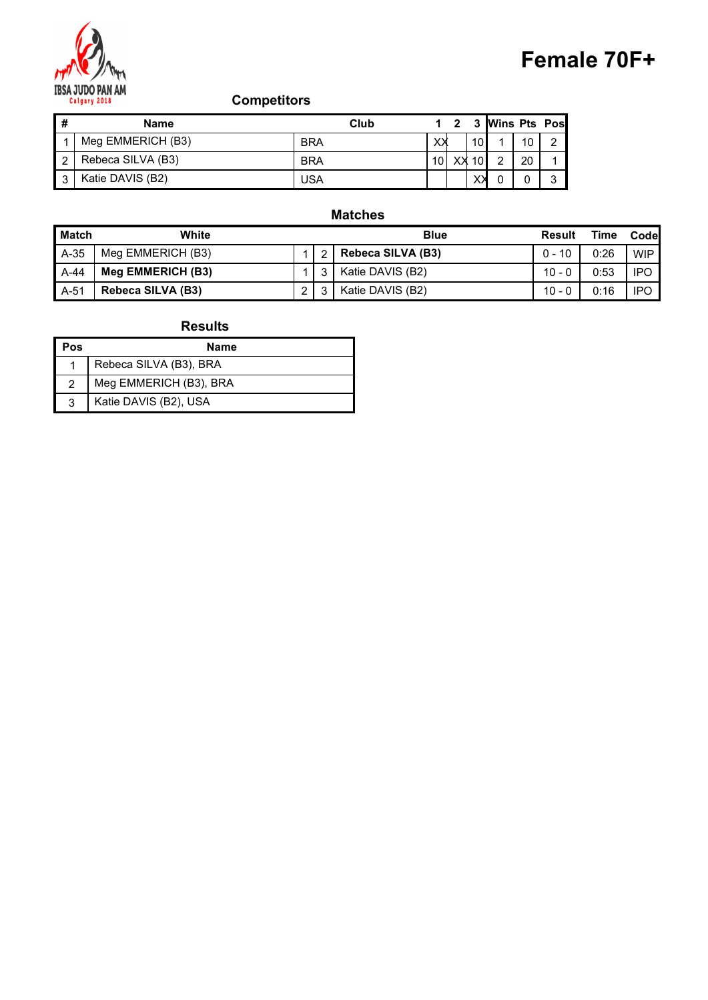

## Female 70F+

|              |                                         |                    |             |                         |                 |            |                 |                | Female 70F+ |      |
|--------------|-----------------------------------------|--------------------|-------------|-------------------------|-----------------|------------|-----------------|----------------|-------------|------|
|              | <b>IBSA JUDO PAN AM</b><br>Calgary 2018 | <b>Competitors</b> |             |                         |                 |            |                 |                |             |      |
| $\pmb{\#}$   | <b>Name</b>                             | Club               | $\mathbf 1$ | $\overline{\mathbf{2}}$ | $\mathbf{3}$    |            | Wins Pts Pos    |                |             |      |
|              | Meg EMMERICH (B3)                       | <b>BRA</b>         | XХ          |                         | 10 <sup>1</sup> |            | 10 <sup>°</sup> | $\overline{2}$ |             |      |
| $\sqrt{2}$   | Rebeca SILVA (B3)                       | <b>BRA</b>         | $10$        | $XX$ 10                 |                 | $\sqrt{2}$ | 20              | 1              |             |      |
| $\mathbf{3}$ | Katie DAVIS (B2)                        | <b>USA</b>         |             |                         | XX              | 0          | $\mathbf 0$     | 3              |             |      |
|              |                                         | <b>Matches</b>     |             |                         |                 |            |                 |                |             |      |
| <b>Match</b> | White                                   |                    | <b>Blue</b> |                         |                 |            |                 | Result         | <b>Time</b> | Code |

#### Matches

|                | IBSA JUDO PAN AM<br><b>Competitors</b><br>Calgary 2018 |                |                |                                                                  | Female 70F+    |             |            |
|----------------|--------------------------------------------------------|----------------|----------------|------------------------------------------------------------------|----------------|-------------|------------|
| $\pmb{\#}$     | <b>Name</b>                                            |                |                | 3 Wins Pts Pos<br>Club<br>$\overline{\mathbf{2}}$<br>$\mathbf 1$ |                |             |            |
| $\overline{1}$ | Meg EMMERICH (B3)                                      | <b>BRA</b>     |                | XX<br>10<br>10                                                   | $\overline{c}$ |             |            |
| $\overline{c}$ | Rebeca SILVA (B3)                                      | <b>BRA</b>     |                | 10<br>$\overline{2}$<br>XX<br>10 <sup>1</sup><br>20              |                |             |            |
| $\mathbf{3}$   | Katie DAVIS (B2)                                       | <b>USA</b>     |                | $\times$<br>$\mathbf 0$<br>0                                     | 3              |             |            |
|                |                                                        |                |                | <b>Matches</b>                                                   |                |             |            |
|                | <b>Match</b><br>White                                  |                |                | <b>Blue</b>                                                      | <b>Result</b>  | <b>Time</b> | Code       |
| $A-35$         | Meg EMMERICH (B3)                                      | 1              | $\overline{c}$ | Rebeca SILVA (B3)                                                | $0 - 10$       | 0:26        | <b>WIP</b> |
| $A-44$         | Meg EMMERICH (B3)                                      | $\mathbf{1}$   | 3              | Katie DAVIS (B2)                                                 | $10 - 0$       | 0:53        | <b>IPO</b> |
| A-51           | Rebeca SILVA (B3)                                      | $\overline{2}$ | $\mathbf{3}$   | Katie DAVIS (B2)                                                 | $10 - 0$       | 0:16        | <b>IPO</b> |
|                | <b>Results</b>                                         |                |                |                                                                  |                |             |            |
| Pos            | <b>Name</b>                                            |                |                |                                                                  |                |             |            |
| $\overline{1}$ | Rebeca SILVA (B3), BRA                                 |                |                |                                                                  |                |             |            |
| $\overline{2}$ | Meg EMMERICH (B3), BRA                                 |                |                |                                                                  |                |             |            |
| $\mathbf{3}$   | Katie DAVIS (B2), USA                                  |                |                |                                                                  |                |             |            |

| Pos | Name                   |
|-----|------------------------|
|     | Rebeca SILVA (B3), BRA |
|     | Meg EMMERICH (B3), BRA |
|     | Katie DAVIS (B2), USA  |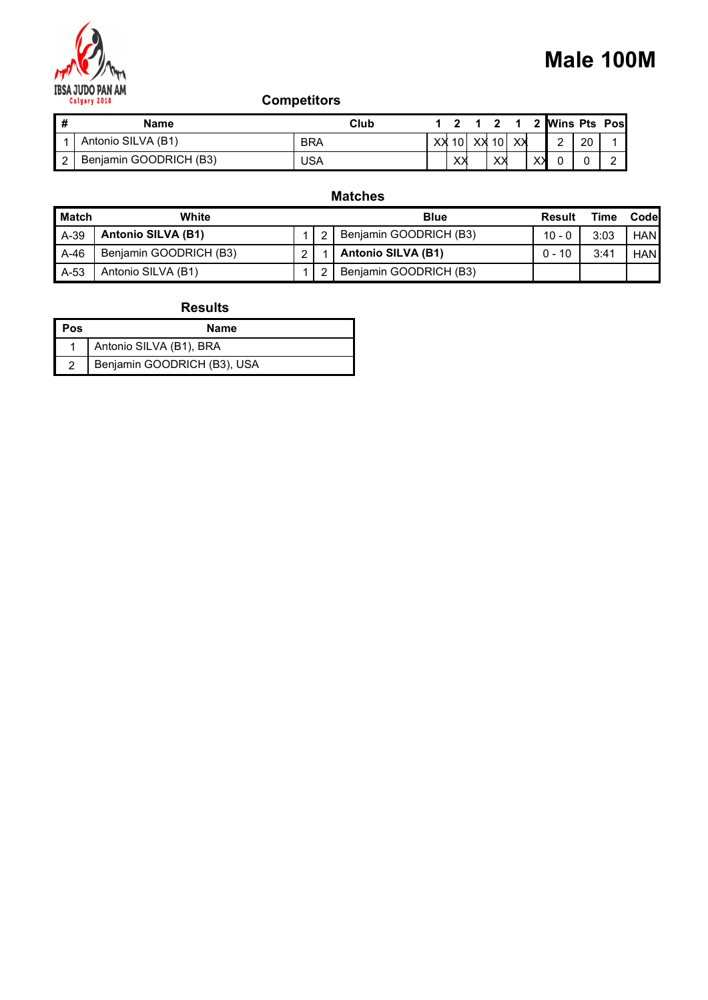

| M              |                                         |                    |              |                |                             |             | Male 100M                             |             |                |      |
|----------------|-----------------------------------------|--------------------|--------------|----------------|-----------------------------|-------------|---------------------------------------|-------------|----------------|------|
|                | <b>IBSA JUDO PAN AM</b><br>Calgary 2018 | <b>Competitors</b> |              |                |                             |             |                                       |             |                |      |
| #              | <b>Name</b>                             | Club               | $\mathbf{1}$ | $\overline{2}$ | $\mathbf 1$<br>$\mathbf{2}$ | $\mathbf 1$ | <b>Wins Pts Pos</b><br>$\overline{2}$ |             |                |      |
| -1             | Antonio SILVA (B1)                      | <b>BRA</b>         |              |                | XX 10 XX 10 XX              |             | $\overline{c}$                        | 20          |                |      |
| $\overline{2}$ | Benjamin GOODRICH (B3)                  | <b>USA</b>         |              | XX             | XХ                          |             | $\times$<br>$\mathbf 0$               | $\mathbf 0$ | $\overline{2}$ |      |
|                |                                         | <b>Matches</b>     |              |                |                             |             |                                       |             |                |      |
|                | <b>Match</b><br>White                   |                    | <b>Blue</b>  |                |                             |             | <b>Result</b>                         |             | <b>Time</b>    | Code |

## Matches

|                         | BSA JUDO PAN AM<br>Calgary 2018 | <b>Competitors</b> |                         |                                |                           |             |                | Male 100M  |
|-------------------------|---------------------------------|--------------------|-------------------------|--------------------------------|---------------------------|-------------|----------------|------------|
| $\overline{\mathbf{H}}$ | <b>Name</b>                     |                    |                         | $1 \quad 2$<br>$1 2 1$<br>Club | 2 Wins Pts Pos            |             |                |            |
| $\mathbf{1}$            | Antonio SILVA (B1)              | <b>BRA</b>         |                         | XX 10<br>XX<br>XX<br>10        | $\overline{2}$            | 20          | 1              |            |
| $\boxed{2}$             | Benjamin GOODRICH (B3)          | <b>USA</b>         |                         | XX<br>$X\lambda$               | $X\lambda$<br>$\mathbf 0$ | $\mathbf 0$ | $\overline{2}$ |            |
|                         |                                 |                    |                         | <b>Matches</b>                 |                           |             |                |            |
| <b>Match</b>            | White                           |                    |                         | <b>Blue</b>                    | <b>Result</b>             |             | <b>Time</b>    | Code       |
| A-39                    | Antonio SILVA (B1)              | 1                  | $\overline{\mathbf{c}}$ | Benjamin GOODRICH (B3)         | $10 - 0$                  |             | 3:03           | <b>HAN</b> |
| $A-46$                  | Benjamin GOODRICH (B3)          | $\overline{2}$     |                         | Antonio SILVA (B1)             | $0 - 10$                  |             | 3:41           | HAN        |
| $A-53$                  | Antonio SILVA (B1)              | $\mathbf{1}$       | $\overline{c}$          | Benjamin GOODRICH (B3)         |                           |             |                |            |
|                         | <b>Results</b>                  |                    |                         |                                |                           |             |                |            |
| Pos                     | <b>Name</b>                     |                    |                         |                                |                           |             |                |            |
| -1                      | Antonio SILVA (B1), BRA         |                    |                         |                                |                           |             |                |            |
| $\overline{2}$          | Benjamin GOODRICH (B3), USA     |                    |                         |                                |                           |             |                |            |

| l Pos | Name                        |
|-------|-----------------------------|
|       | Antonio SILVA (B1), BRA     |
|       | Benjamin GOODRICH (B3), USA |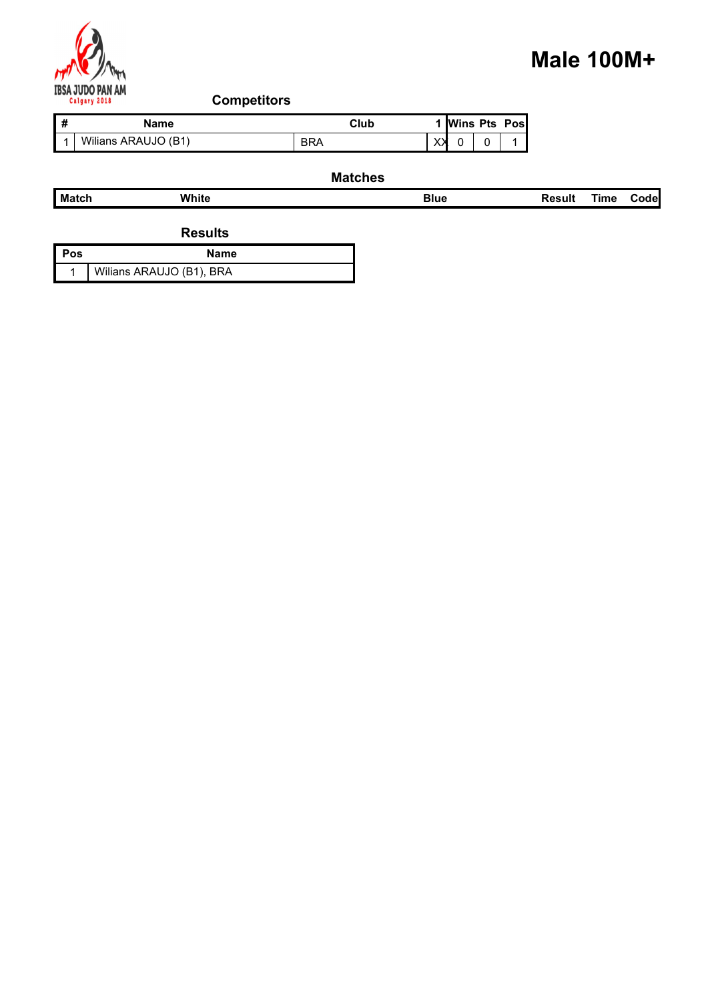

# Male 100M+

|                         |                                   |                |             |                            |                | <b>Male 100M+</b> |             |      |
|-------------------------|-----------------------------------|----------------|-------------|----------------------------|----------------|-------------------|-------------|------|
| <b>IBSA JUDO PAN AM</b> |                                   |                |             |                            |                |                   |             |      |
| Calgary 2018            | <b>Competitors</b><br><b>Name</b> | Club           |             | 1 Wins Pts Pos             |                |                   |             |      |
| #<br>$\overline{1}$     | Wilians ARAUJO (B1)               | <b>BRA</b>     | $\times$    | $\mathbf 0$<br>$\mathbf 0$ | $\overline{1}$ |                   |             |      |
|                         |                                   | <b>Matches</b> |             |                            |                |                   |             |      |
| Match                   | White                             |                | <b>Blue</b> |                            |                | <b>Result</b>     | <b>Time</b> | Code |
|                         | <b>Results</b>                    |                |             |                            |                |                   |             |      |
| Pos                     | <b>Name</b>                       |                |             |                            |                |                   |             |      |

#### Matches

|                                         |                     |                    |                |                     | <b>Male 100M+</b> |             |             |  |
|-----------------------------------------|---------------------|--------------------|----------------|---------------------|-------------------|-------------|-------------|--|
| M                                       |                     |                    |                |                     |                   |             |             |  |
| <b>IBSA JUDO PAN AM</b><br>Calgary 2018 |                     | <b>Competitors</b> |                |                     |                   |             |             |  |
| $\pmb{\#}$                              | <b>Name</b>         |                    | Club           | <b>Wins Pts Pos</b> |                   |             |             |  |
| $1 \mid$                                | Wilians ARAUJO (B1) |                    | <b>BRA</b>     | XХ<br>0<br>0        |                   |             |             |  |
|                                         |                     |                    | <b>Matches</b> |                     |                   |             |             |  |
| <b>Match</b>                            | White               |                    |                | <b>Blue</b>         | <b>Result</b>     | <b>Time</b> | <b>Code</b> |  |
|                                         |                     |                    |                |                     |                   |             |             |  |

| l Pos | Name                     |
|-------|--------------------------|
|       | Wilians ARAUJO (B1), BRA |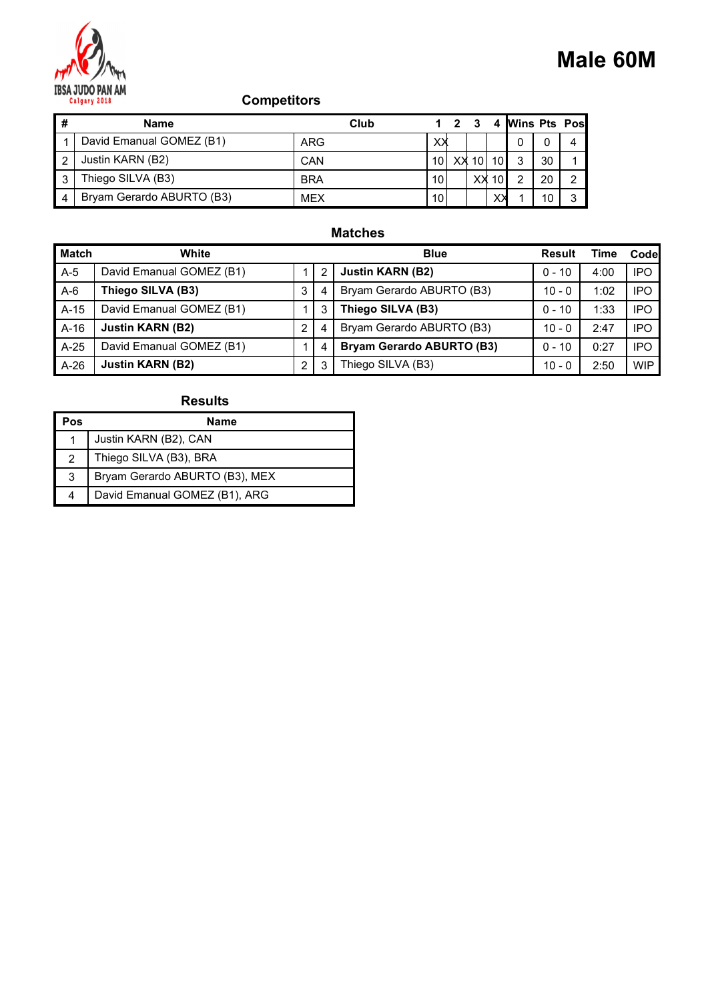

|                |                                         |                    |             |                         |              |            |                           |             |                | <b>Male 60M</b> |
|----------------|-----------------------------------------|--------------------|-------------|-------------------------|--------------|------------|---------------------------|-------------|----------------|-----------------|
|                | <b>IBSA JUDO PAN AM</b><br>Calgary 2018 | <b>Competitors</b> |             |                         |              |            |                           |             |                |                 |
| $\pmb{\#}$     | <b>Name</b>                             | Club               | $\mathbf 1$ | $\overline{\mathbf{2}}$ | $\mathbf{3}$ |            |                           |             | 4 Wins Pts Pos |                 |
| $\overline{1}$ | David Emanual GOMEZ (B1)                | ARG                | XX          |                         |              |            | 0                         | $\mathbf 0$ | 4              |                 |
| $\sqrt{2}$     | Justin KARN (B2)                        | CAN                | $10$        |                         | $XX$ 10      | 10         | $\ensuremath{\mathsf{3}}$ | 30          |                |                 |
| $\mathbf{3}$   | Thiego SILVA (B3)                       | <b>BRA</b>         | 10          |                         | xх           | 10         | $\sqrt{2}$                | 20          | $\overline{c}$ |                 |
| $\overline{4}$ | Bryam Gerardo ABURTO (B3)               | <b>MEX</b>         | 10          |                         |              | $X\lambda$ |                           | 10          | $\mathbf{3}$   |                 |
|                |                                         | <b>Matches</b>     |             |                         |              |            |                           |             |                |                 |

## Matches

|                | <b>Competitors</b><br>Calgary 2018 |                |                |                                  |             |             |              |             |                |                     |                |             | <b>Male 60M</b> |
|----------------|------------------------------------|----------------|----------------|----------------------------------|-------------|-------------|--------------|-------------|----------------|---------------------|----------------|-------------|-----------------|
| #              | <b>Name</b>                        |                |                | Club                             |             | $1 \quad 2$ | $\mathbf{3}$ | 4           |                | <b>Wins Pts Pos</b> |                |             |                 |
|                | David Emanual GOMEZ (B1)           |                | <b>ARG</b>     |                                  | XX          |             |              |             | 0              | 0                   | 4              |             |                 |
| $\overline{c}$ | Justin KARN (B2)                   | CAN            |                |                                  |             |             |              | 10 XX 10 10 | 3              | 30                  | 1              |             |                 |
| 3              | Thiego SILVA (B3)                  | <b>BRA</b>     |                |                                  | 10          |             |              | $XX$ 10     | $\overline{2}$ | 20                  | $\overline{2}$ |             |                 |
| 4              | Bryam Gerardo ABURTO (B3)          | <b>MEX</b>     |                |                                  | 10          |             |              | $X\lambda$  |                | 10                  | $\mathbf{3}$   |             |                 |
|                |                                    |                |                | <b>Matches</b>                   |             |             |              |             |                |                     |                |             |                 |
| <b>Match</b>   | White                              |                |                |                                  | <b>Blue</b> |             |              |             |                |                     | Result         | <b>Time</b> | Code            |
| $A-5$          | David Emanual GOMEZ (B1)           | 1              | $\overline{c}$ | <b>Justin KARN (B2)</b>          |             |             |              |             |                |                     | $0 - 10$       | 4:00        | <b>IPO</b>      |
| $A-6$          | Thiego SILVA (B3)                  | $\mathbf{3}$   | 4              | Bryam Gerardo ABURTO (B3)        |             |             |              |             |                |                     | $10 - 0$       | 1:02        | <b>IPO</b>      |
| $A-15$         | David Emanual GOMEZ (B1)           | 1              | 3              | Thiego SILVA (B3)                |             |             |              |             |                |                     | $0 - 10$       | 1:33        | <b>IPO</b>      |
| $A-16$         | <b>Justin KARN (B2)</b>            | $\overline{a}$ | 4              | Bryam Gerardo ABURTO (B3)        |             |             |              |             |                |                     | $10 - 0$       | 2:47        | <b>IPO</b>      |
| $A-25$         | David Emanual GOMEZ (B1)           | $\mathbf{1}$   | 4              | <b>Bryam Gerardo ABURTO (B3)</b> |             |             |              |             |                |                     | $0 - 10$       | 0:27        | <b>IPO</b>      |
| $A-26$         | <b>Justin KARN (B2)</b>            | $\overline{2}$ | 3              | Thiego SILVA (B3)                |             |             |              |             |                |                     | $10 - 0$       | 2:50        | <b>WIP</b>      |
|                | <b>Results</b>                     |                |                |                                  |             |             |              |             |                |                     |                |             |                 |
| Pos            | <b>Name</b>                        |                |                |                                  |             |             |              |             |                |                     |                |             |                 |
| $\overline{1}$ | Justin KARN (B2), CAN              |                |                |                                  |             |             |              |             |                |                     |                |             |                 |
| 2              | Thiego SILVA (B3), BRA             |                |                |                                  |             |             |              |             |                |                     |                |             |                 |
| $\sqrt{3}$     | Bryam Gerardo ABURTO (B3), MEX     |                |                |                                  |             |             |              |             |                |                     |                |             |                 |
|                | David Emanual GOMEZ (B1), ARG      |                |                |                                  |             |             |              |             |                |                     |                |             |                 |

| Pos | <b>Name</b>                    |
|-----|--------------------------------|
|     | Justin KARN (B2), CAN          |
|     | Thiego SILVA (B3), BRA         |
| 3   | Bryam Gerardo ABURTO (B3), MEX |
| 4   | David Emanual GOMEZ (B1), ARG  |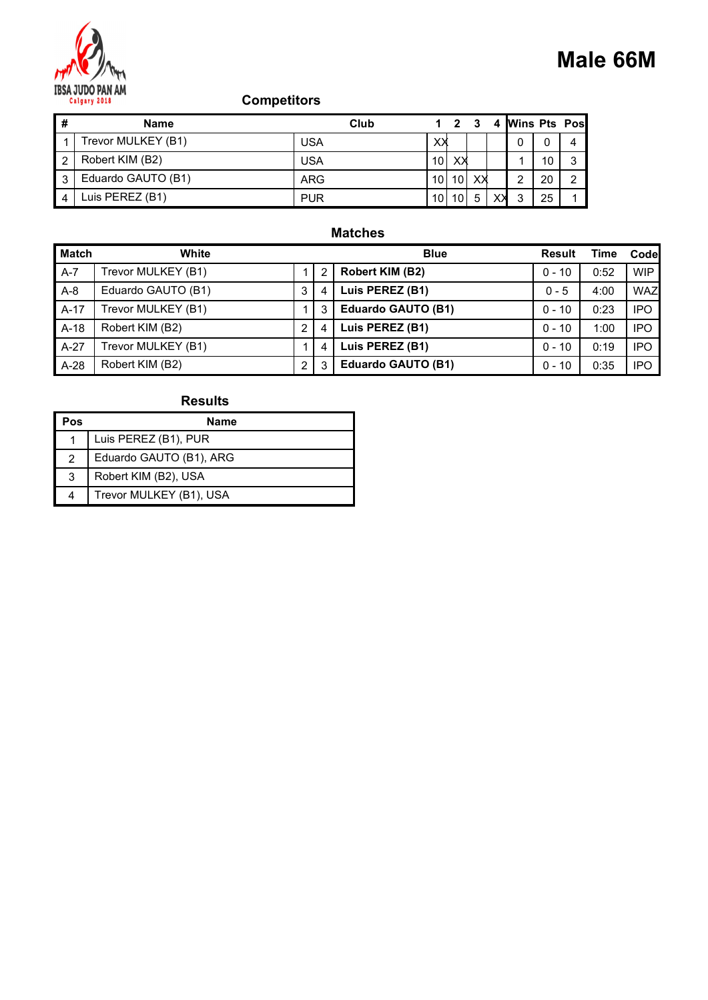

|                |                         |                    |             |              |                 |            |                |               |                | Male 66M            |  |
|----------------|-------------------------|--------------------|-------------|--------------|-----------------|------------|----------------|---------------|----------------|---------------------|--|
|                | <b>IBSA JUDO PAN AM</b> |                    |             |              |                 |            |                |               |                |                     |  |
|                | Calgary 2018            | <b>Competitors</b> |             |              |                 |            |                |               |                |                     |  |
|                |                         |                    |             |              |                 |            |                |               |                |                     |  |
| #              | <b>Name</b>             | Club               | $\mathbf 1$ | $\mathbf{2}$ | $\mathbf{3}$    |            | 4 Wins Pts Pos |               |                |                     |  |
| $\overline{1}$ | Trevor MULKEY (B1)      | <b>USA</b>         | ХX          |              |                 |            | $\mathbf 0$    | $\mathbf 0$   | 4              |                     |  |
| $\sqrt{2}$     | Robert KIM (B2)         | <b>USA</b>         | 10          | X≯           |                 |            | $\mathbf{1}$   | 10            | $\mathsf 3$    |                     |  |
| $\sqrt{3}$     | Eduardo GAUTO (B1)      | ARG                | 10          | 10           | X≯              |            | $\overline{2}$ | 20            | $\overline{c}$ |                     |  |
| $\overline{4}$ | Luis PEREZ (B1)         | <b>PUR</b>         |             | $10$ 10      | $5\phantom{.0}$ | $X\lambda$ | $\mathbf{3}$   | 25            | 1              |                     |  |
|                |                         | <b>Matches</b>     |             |              |                 |            |                |               |                |                     |  |
|                | <b>Match</b><br>White   |                    | <b>Blue</b> |              |                 |            |                | <b>Result</b> |                | <b>Time</b><br>Code |  |

## Matches

|                | Calgary 2018            | <b>Competitors</b> |                |                           |                 |          |                     |          |                |             | <b>Male 66M</b> |
|----------------|-------------------------|--------------------|----------------|---------------------------|-----------------|----------|---------------------|----------|----------------|-------------|-----------------|
| #              | <b>Name</b>             |                    |                | Club<br>$1 \quad 2$       | $\mathbf{3}$    | 4        | <b>Wins Pts Pos</b> |          |                |             |                 |
| -1             | Trevor MULKEY (B1)      | <b>USA</b>         |                | X≯                        |                 |          | 0                   | 0        | 4              |             |                 |
| $\overline{c}$ | Robert KIM (B2)         | <b>USA</b>         |                | $10$ XX                   |                 |          | $\mathbf 1$         | 10       | $\mathbf{3}$   |             |                 |
| 3              | Eduardo GAUTO (B1)      | <b>ARG</b>         |                | $10$ 10 $\times$          |                 |          | $\overline{2}$      | 20       | $\overline{2}$ |             |                 |
| $\overline{4}$ | Luis PEREZ (B1)         | <b>PUR</b>         |                | 10 10                     | $5\phantom{.0}$ | $\times$ | 3                   | 25       | $\mathbf 1$    |             |                 |
|                |                         |                    |                | <b>Matches</b>            |                 |          |                     |          |                |             |                 |
| <b>Match</b>   | White                   |                    |                | <b>Blue</b>               |                 |          |                     |          | Result         | <b>Time</b> | Code            |
| $A-7$          | Trevor MULKEY (B1)      | $\mathbf{1}$       | $\overline{c}$ | Robert KIM (B2)           |                 |          |                     | $0 - 10$ |                | 0:52        | <b>WIP</b>      |
| $A-8$          | Eduardo GAUTO (B1)      | $\mathbf{3}$       | 4              | Luis PEREZ (B1)           |                 |          |                     | $0 - 5$  |                | 4:00        | <b>WAZ</b>      |
| $A-17$         | Trevor MULKEY (B1)      | 1                  | 3              | <b>Eduardo GAUTO (B1)</b> |                 |          |                     | $0 - 10$ |                | 0:23        | <b>IPO</b>      |
| $A-18$         | Robert KIM (B2)         | $\overline{2}$     | 4              | Luis PEREZ (B1)           |                 |          |                     | $0 - 10$ |                | 1:00        | <b>IPO</b>      |
| $A-27$         | Trevor MULKEY (B1)      | $\mathbf{1}$       | 4              | Luis PEREZ (B1)           |                 |          |                     | $0 - 10$ |                | 0:19        | <b>IPO</b>      |
| A-28           | Robert KIM (B2)         | $\overline{a}$     | 3              | <b>Eduardo GAUTO (B1)</b> |                 |          |                     | $0 - 10$ |                | 0:35        | <b>IPO</b>      |
|                | <b>Results</b>          |                    |                |                           |                 |          |                     |          |                |             |                 |
| Pos            | <b>Name</b>             |                    |                |                           |                 |          |                     |          |                |             |                 |
| $\overline{1}$ | Luis PEREZ (B1), PUR    |                    |                |                           |                 |          |                     |          |                |             |                 |
| 2              | Eduardo GAUTO (B1), ARG |                    |                |                           |                 |          |                     |          |                |             |                 |
| $\sqrt{3}$     | Robert KIM (B2), USA    |                    |                |                           |                 |          |                     |          |                |             |                 |
|                | Trevor MULKEY (B1), USA |                    |                |                           |                 |          |                     |          |                |             |                 |

| Pos | Name                    |
|-----|-------------------------|
|     | Luis PEREZ (B1), PUR    |
| 2   | Eduardo GAUTO (B1), ARG |
| -3  | Robert KIM (B2), USA    |
| 4   | Trevor MULKEY (B1), USA |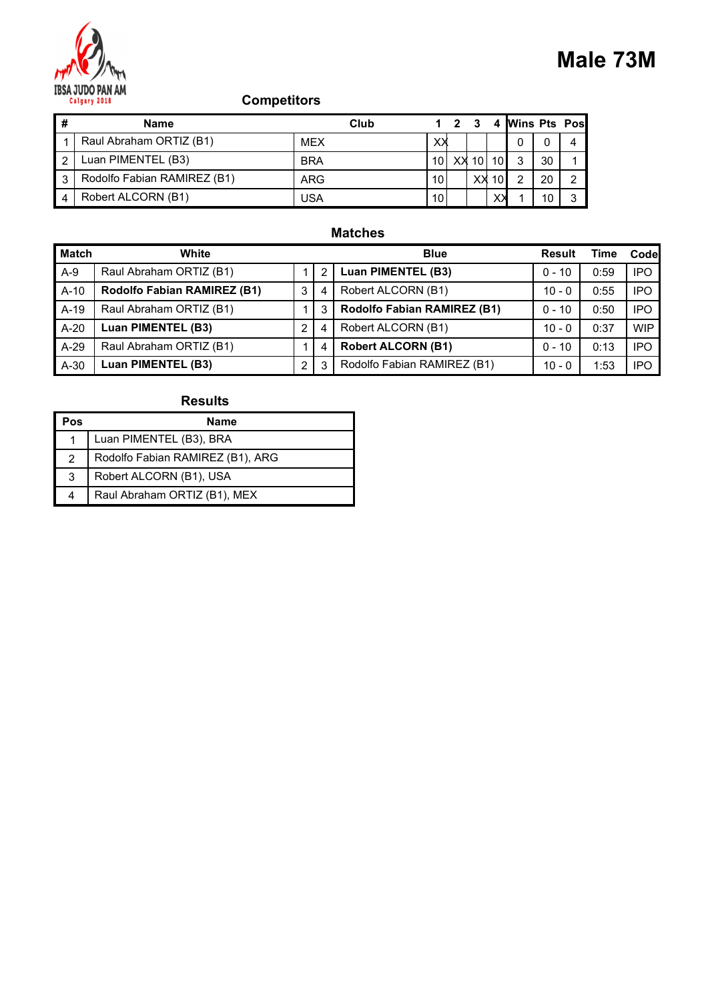

|                |                                         |                    |             |                         |              |            |                           |                | <b>Male 73M</b> |
|----------------|-----------------------------------------|--------------------|-------------|-------------------------|--------------|------------|---------------------------|----------------|-----------------|
|                | <b>IBSA JUDO PAN AM</b><br>Calgary 2018 | <b>Competitors</b> |             |                         |              |            |                           |                |                 |
| $\pmb{\#}$     | <b>Name</b>                             | Club               | $\mathbf 1$ | $\overline{\mathbf{2}}$ | $\mathbf{3}$ |            |                           | 4 Wins Pts Pos |                 |
| $\overline{1}$ | Raul Abraham ORTIZ (B1)                 | <b>MEX</b>         | xх          |                         |              |            | 0                         | $\mathbf 0$    | 4               |
| $\overline{2}$ | Luan PIMENTEL (B3)                      | <b>BRA</b>         | $10$        | $XX$ 10                 |              | 10         | $\ensuremath{\mathsf{3}}$ | 30             |                 |
| $\mathbf{3}$   | Rodolfo Fabian RAMIREZ (B1)             | ARG                | 10          |                         | xх           | 10         | $\sqrt{2}$                | 20             | $\overline{c}$  |
| $\overline{4}$ | Robert ALCORN (B1)                      | <b>USA</b>         | 10          |                         |              | $X\lambda$ |                           | 10             | $\mathbf{3}$    |
|                |                                         | <b>Matches</b>     |             |                         |              |            |                           |                |                 |

## Matches

|                | <b>Competitors</b><br>Calgary 2018 |                |                |                             |             |                   |                     |          |                |             | Male 73M   |
|----------------|------------------------------------|----------------|----------------|-----------------------------|-------------|-------------------|---------------------|----------|----------------|-------------|------------|
| #              | <b>Name</b>                        |                |                | Club                        | $1 \quad 2$ | $\mathbf{3}$<br>4 | <b>Wins Pts Pos</b> |          |                |             |            |
|                | Raul Abraham ORTIZ (B1)            | <b>MEX</b>     |                |                             | XX          |                   | 0                   | 0        | 4              |             |            |
| $\overline{c}$ | Luan PIMENTEL (B3)                 | <b>BRA</b>     |                |                             |             | 10 XX 10 10       | 3                   | 30       | 1              |             |            |
| 3              | Rodolfo Fabian RAMIREZ (B1)        | <b>ARG</b>     |                |                             | 10          | $XX$ 10           | $\overline{2}$      | 20       | $\overline{2}$ |             |            |
| 4              | Robert ALCORN (B1)                 | <b>USA</b>     |                |                             | 10          | $X\lambda$        |                     | 10       | $\mathbf{3}$   |             |            |
|                |                                    |                |                | <b>Matches</b>              |             |                   |                     |          |                |             |            |
| <b>Match</b>   | White                              |                |                |                             | <b>Blue</b> |                   |                     |          | Result         | <b>Time</b> | Code       |
| $A-9$          | Raul Abraham ORTIZ (B1)            | $\mathbf{1}$   | $\overline{c}$ | Luan PIMENTEL (B3)          |             |                   |                     | $0 - 10$ |                | 0:59        | <b>IPO</b> |
| $A-10$         | Rodolfo Fabian RAMIREZ (B1)        | $\mathbf{3}$   | 4              | Robert ALCORN (B1)          |             |                   |                     | $10 - 0$ |                | 0:55        | <b>IPO</b> |
| $A-19$         | Raul Abraham ORTIZ (B1)            | $\mathbf{1}$   | 3              | Rodolfo Fabian RAMIREZ (B1) |             |                   |                     | $0 - 10$ |                | 0:50        | <b>IPO</b> |
| $A-20$         | Luan PIMENTEL (B3)                 | $\overline{2}$ | 4              | Robert ALCORN (B1)          |             |                   |                     | $10 - 0$ |                | 0:37        | <b>WIP</b> |
| $A-29$         | Raul Abraham ORTIZ (B1)            | $\mathbf{1}$   | 4              | <b>Robert ALCORN (B1)</b>   |             |                   |                     | $0 - 10$ |                | 0:13        | <b>IPO</b> |
| $A-30$         | Luan PIMENTEL (B3)                 | $\overline{2}$ | 3              | Rodolfo Fabian RAMIREZ (B1) |             |                   |                     | $10 - 0$ |                | 1:53        | <b>IPO</b> |
|                | <b>Results</b>                     |                |                |                             |             |                   |                     |          |                |             |            |
| Pos            | <b>Name</b>                        |                |                |                             |             |                   |                     |          |                |             |            |
| $\overline{1}$ | Luan PIMENTEL (B3), BRA            |                |                |                             |             |                   |                     |          |                |             |            |
| 2              | Rodolfo Fabian RAMIREZ (B1), ARG   |                |                |                             |             |                   |                     |          |                |             |            |
| $\sqrt{3}$     | Robert ALCORN (B1), USA            |                |                |                             |             |                   |                     |          |                |             |            |
|                |                                    |                |                |                             |             |                   |                     |          |                |             |            |

| Pos | Name                             |
|-----|----------------------------------|
|     | Luan PIMENTEL (B3), BRA          |
| 2   | Rodolfo Fabian RAMIREZ (B1), ARG |
| 3   | Robert ALCORN (B1), USA          |
| 4   | Raul Abraham ORTIZ (B1), MEX     |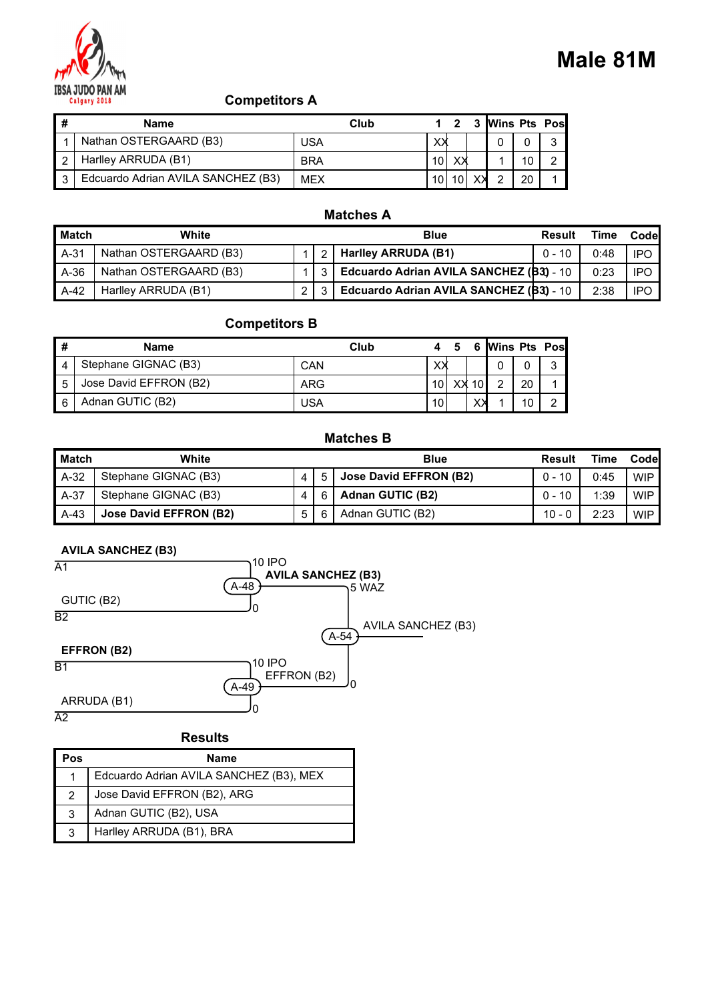

|                |                                                                 |                  |             |              |   |                |    |                         |             | Male 81M    |
|----------------|-----------------------------------------------------------------|------------------|-------------|--------------|---|----------------|----|-------------------------|-------------|-------------|
|                | <b>IBSA JUDO PAN AM</b><br><b>Competitors A</b><br>Calgary 2018 |                  |             |              |   |                |    |                         |             |             |
| $\#$           | <b>Name</b>                                                     | Club             | 1           | $\mathbf{2}$ | 3 | Wins Pts Pos   |    |                         |             |             |
| $\overline{1}$ | Nathan OSTERGAARD (B3)                                          | <b>USA</b>       | ХX          |              |   | 0              | 0  | 3                       |             |             |
| $\overline{2}$ | Harlley ARRUDA (B1)                                             | <b>BRA</b>       | 10          | XX           |   | $\mathbf 1$    | 10 | $\overline{\mathbf{c}}$ |             |             |
| 3              | Edcuardo Adrian AVILA SANCHEZ (B3)                              | <b>MEX</b>       | 10          | 10           | X | $\overline{2}$ | 20 |                         |             |             |
|                |                                                                 |                  |             |              |   |                |    |                         |             |             |
| <b>Match</b>   | White                                                           | <b>Matches A</b> | <b>Blue</b> |              |   |                |    | <b>Result</b>           | <b>Time</b> | <b>Code</b> |

#### Matches A

|                |                                      |                |                                              |                                        |                      |                |                  | Male 81M    |            |
|----------------|--------------------------------------|----------------|----------------------------------------------|----------------------------------------|----------------------|----------------|------------------|-------------|------------|
|                | <b>Competitors A</b><br>Calgary 2018 |                |                                              |                                        |                      |                |                  |             |            |
| $\pmb{\#}$     | <b>Name</b>                          |                | Club                                         | $\overline{2}$<br>$\blacktriangleleft$ |                      | 3 Wins Pts Pos |                  |             |            |
|                | Nathan OSTERGAARD (B3)               | <b>USA</b>     |                                              | XX                                     | 0                    | 0              | 3                |             |            |
| $\overline{c}$ | Harlley ARRUDA (B1)                  | <b>BRA</b>     |                                              | 10<br>XX                               | $\overline{1}$       | 10             | $\boldsymbol{2}$ |             |            |
| $\sqrt{3}$     | Edcuardo Adrian AVILA SANCHEZ (B3)   | <b>MEX</b>     |                                              | 10 10                                  | $\overline{2}$<br>XX | 20             |                  |             |            |
|                |                                      |                | <b>Matches A</b>                             |                                        |                      |                |                  |             |            |
|                | <b>Match</b><br>White                |                |                                              | <b>Blue</b>                            |                      |                | <b>Result</b>    | <b>Time</b> | Code       |
| $A-31$         | Nathan OSTERGAARD (B3)               | 1              | <b>Harlley ARRUDA (B1)</b><br>$\overline{c}$ |                                        |                      |                | $0 - 10$         | 0:48        | <b>IPO</b> |
| $A-36$         | Nathan OSTERGAARD (B3)               | $\mathbf{1}$   | Edcuardo Adrian AVILA SANCHEZ (B3) - 10<br>3 |                                        |                      |                |                  | 0:23        | <b>IPO</b> |
| $A-42$         | Harlley ARRUDA (B1)                  | $\overline{2}$ | Edcuardo Adrian AVILA SANCHEZ (B3) - 10<br>3 |                                        |                      |                |                  | 2:38        | <b>IPO</b> |
|                | <b>Competitors B</b>                 |                |                                              |                                        |                      |                |                  |             |            |
| $\pmb{\#}$     | Name                                 |                | Club                                         | $\sqrt{5}$<br>4                        |                      | 6 Wins Pts Pos |                  |             |            |
| 4              | Stephane GIGNAC (B3)                 | CAN            |                                              | XX                                     | 0                    | 0              | 3                |             |            |
| $\sqrt{5}$     | Jose David EFFRON (B2)               | <b>ARG</b>     |                                              | $XX$ 10<br>10                          | $\overline{2}$       | 20             |                  |             |            |
|                | Adnan GUTIC (B2)                     | <b>USA</b>     |                                              | 10                                     | $\chi$<br>-1         | 10             | $\overline{2}$   |             |            |
| 6              |                                      |                |                                              |                                        |                      |                |                  |             |            |
|                |                                      |                | <b>Matches B</b>                             |                                        |                      |                |                  |             |            |
|                | <b>Match</b><br>White                |                |                                              | <b>Blue</b>                            |                      |                | <b>Result</b>    | <b>Time</b> | Code       |

#### Competitors B

| l #            | <b>Name</b>            | Club       |                 | Ð |       | 6 Wins Pts Pos |    |   |
|----------------|------------------------|------------|-----------------|---|-------|----------------|----|---|
| $\overline{4}$ | Stephane GIGNAC (B3)   | <b>CAN</b> | XХ              |   |       |                |    | ◠ |
| 15             | Jose David EFFRON (B2) | <b>ARG</b> | 10 <sup>1</sup> |   | XX 10 |                | 20 |   |
| I 6            | Adnan GUTIC (B2)       | <b>USA</b> | 10              |   | XЖ    |                | 10 |   |

#### Matches B

| $\sqrt{2}$      | Harlley ARRUDA (B1)                | <b>BRA</b>     |            |                                         | 10 <sup>1</sup>         | $X\lambda$     |          |                | 10 | $\overline{c}$ |             |             |
|-----------------|------------------------------------|----------------|------------|-----------------------------------------|-------------------------|----------------|----------|----------------|----|----------------|-------------|-------------|
| $\overline{3}$  | Edcuardo Adrian AVILA SANCHEZ (B3) | <b>MEX</b>     |            |                                         |                         | 10 10          | X        | $\overline{2}$ | 20 |                |             |             |
|                 |                                    |                |            |                                         |                         |                |          |                |    |                |             |             |
|                 |                                    |                |            | <b>Matches A</b>                        |                         |                |          |                |    |                |             |             |
|                 | <b>Match</b><br>White              |                |            |                                         | <b>Blue</b>             |                |          |                |    | <b>Result</b>  | <b>Time</b> | Code        |
| $A-31$          | Nathan OSTERGAARD (B3)             |                | 2          | <b>Harlley ARRUDA (B1)</b>              |                         |                |          |                |    | $0 - 10$       | 0:48        | <b>IPO</b>  |
| $A-36$          | Nathan OSTERGAARD (B3)             | $\mathbf{1}$   | 3          | Edcuardo Adrian AVILA SANCHEZ (B3) - 10 |                         |                |          |                |    |                | 0:23        | <b>IPO</b>  |
| A-42            | Harlley ARRUDA (B1)                | $\overline{2}$ | 3          | Edcuardo Adrian AVILA SANCHEZ (B3) - 10 |                         |                |          |                |    |                | 2:38        | <b>IPO</b>  |
|                 |                                    |                |            |                                         |                         |                |          |                |    |                |             |             |
|                 | <b>Competitors B</b>               |                |            |                                         |                         |                |          |                |    |                |             |             |
| $\vert$ #       | <b>Name</b>                        |                |            | Club                                    | $\overline{\mathbf{4}}$ | $5\phantom{1}$ |          |                |    | 6 Wins Pts Pos |             |             |
| 4               | Stephane GIGNAC (B3)               |                | CAN        |                                         | ХX                      |                |          | 0              | 0  | 3              |             |             |
| $\mathbf 5$     | Jose David EFFRON (B2)             | <b>ARG</b>     |            |                                         | 10 <sup>1</sup>         |                | $XX$ 10  | $\overline{2}$ | 20 |                |             |             |
| $6\overline{6}$ | Adnan GUTIC (B2)                   |                | <b>USA</b> |                                         | 10                      |                | $\times$ |                | 10 | 2              |             |             |
|                 |                                    |                |            |                                         |                         |                |          |                |    |                |             |             |
|                 |                                    |                |            | <b>Matches B</b>                        |                         |                |          |                |    |                |             |             |
|                 | <b>Match</b><br>White              |                |            |                                         | <b>Blue</b>             |                |          |                |    | <b>Result</b>  | <b>Time</b> | <b>Code</b> |
| $A-32$          | Stephane GIGNAC (B3)               | 4              | 5          | <b>Jose David EFFRON (B2)</b>           |                         |                |          |                |    | $0 - 10$       | 0:45        | <b>WIP</b>  |
| $A-37$          | Stephane GIGNAC (B3)               | $\overline{4}$ | 6          | <b>Adnan GUTIC (B2)</b>                 |                         |                |          |                |    | $0 - 10$       | 1:39        | <b>WIP</b>  |
| A-43            | <b>Jose David EFFRON (B2)</b>      | 5              | 6          | Adnan GUTIC (B2)                        |                         |                |          |                |    | $10 - 0$       | 2:23        | WIP         |
|                 |                                    |                |            |                                         |                         |                |          |                |    |                |             |             |
|                 | <b>AVILA SANCHEZ (B3)</b>          |                |            |                                         |                         |                |          |                |    |                |             |             |
| $\overline{A1}$ | 10 IPO                             |                |            |                                         |                         |                |          |                |    |                |             |             |
|                 |                                    |                |            | <b>AVILA SANCHEZ (B3)</b>               |                         |                |          |                |    |                |             |             |
|                 | A-48                               |                |            | ነ5 WAZ                                  |                         |                |          |                |    |                |             |             |

#### AVILA SANCHEZ (B3)



## **Results** 1 Edcuardo Adrian AVILA SANCHEZ (B3), MEX 2 Jose David EFFRON (B2), ARG 3 Adnan GUTIC (B2), USA

3 Harlley ARRUDA (B1), BRA